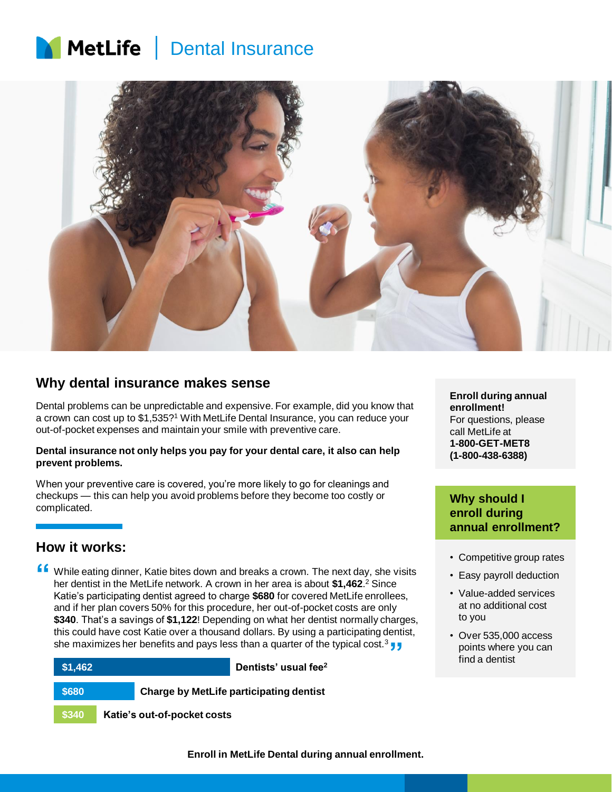# MetLife | Dental Insurance



## **Why dental insurance makes sense**

Dental problems can be unpredictable and expensive. For example, did you know that a crown can cost up to \$1,535?<sup>1</sup> With MetLife Dental Insurance, you can reduce your out-of-pocket expenses and maintain your smile with preventive care.

#### **Dental insurance not only helps you pay for your dental care, it also can help prevent problems.**

When your preventive care is covered, you're more likely to go for cleanings and checkups — this can help you avoid problems before they become too costly or complicated.

## **How it works:**

**f** While eating dinner, Katie bites down and breaks a crown. The next day, she visits her dentist in the MetLife network. A crown in her area is about \$1,462.<sup>2</sup> Since her dentist in the MetLife network. A crown in her area is about **\$1,462**. <sup>2</sup> Since Katie's participating dentist agreed to charge **\$680** for covered MetLife enrollees, and if her plan covers 50% for this procedure, her out-of-pocket costs are only **\$340**. That's a savings of **\$1,122**! Depending on what her dentist normally charges, this could have cost Katie over a thousand dollars. By using a participating dentist, she maximizes her benefits and pays less than a quarter of the typical cost.<sup>3</sup> **}**<br>**"Dontists' usual foo?** 



**Enroll during annual enrollment!** For questions, please call MetLife at **1-800-GET-MET8 (1-800-438-6388)**

## **Why should I enroll during annual enrollment?**

- Competitive group rates
- Easy payroll deduction
- Value-added services at no additional cost to you
- Over 535,000 access points where you can find a dentist

**Enroll in MetLife Dental during annual enrollment.**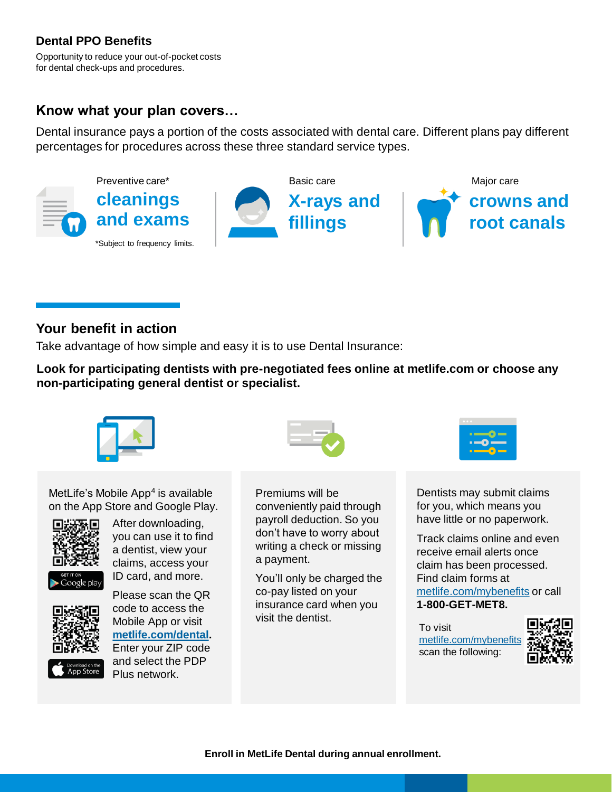## **Dental PPO Benefits**

Opportunity to reduce your out-of-pocket costs for dental check-ups and procedures.

## **Know what your plan covers…**

Dental insurance pays a portion of the costs associated with dental care. Different plans pay different percentages for procedures across these three standard service types.



## **Your benefit in action**

Take advantage of how simple and easy it is to use Dental Insurance:

**Look for participating dentists with pre-negotiated fees online at metlife.com or choose any non-participating general dentist or specialist.**



MetLife's Mobile App<sup>4</sup> is available on the App Store and Google Play.



After downloading, you can use it to find a dentist, view your claims, access your ID card, and more.



<sup>Download on th</sup><br>App Store

Please scan the QR code to access the Mobile App or visit **[metlife.com/dental.](http://www.metlife.com/dental)** Enter your ZIP code and select the PDP Plus network.



Premiums will be conveniently paid through payroll deduction. So you don't have to worry about writing a check or missing a payment.

You'll only be charged the co-pay listed on your insurance card when you visit the dentist.



Dentists may submit claims for you, which means you have little or no paperwork.

Track claims online and even receive email alerts once claim has been processed. Find claim forms at metlife.com/mybenefits or call **1-800-GET-MET8.**

To visit metlife.com/mybenefit scan the following:

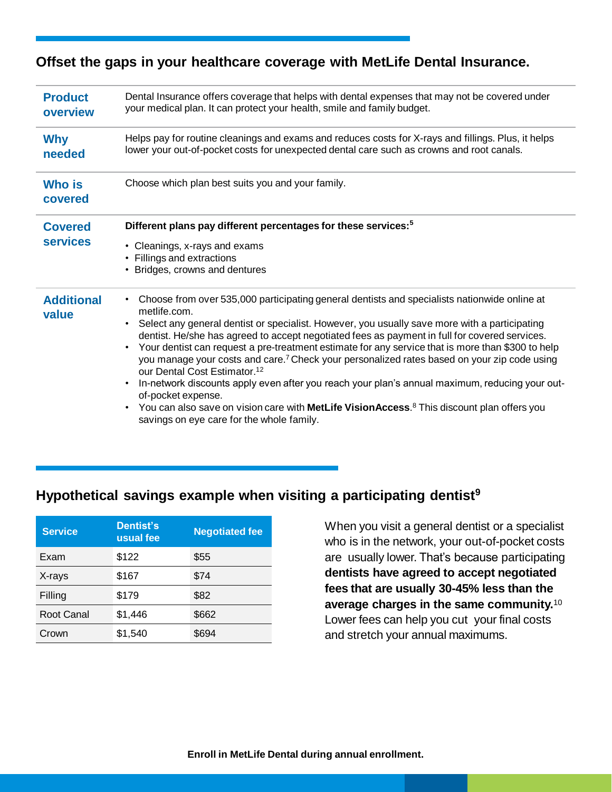## **Offset the gaps in your healthcare coverage with MetLife Dental Insurance.**

| <b>Product</b><br>overview        | Dental Insurance offers coverage that helps with dental expenses that may not be covered under<br>your medical plan. It can protect your health, smile and family budget.                                                                                                                                                                                                                                                                                                                                                                                                                                                                                                                                                                                                                                                                                                                                |  |
|-----------------------------------|----------------------------------------------------------------------------------------------------------------------------------------------------------------------------------------------------------------------------------------------------------------------------------------------------------------------------------------------------------------------------------------------------------------------------------------------------------------------------------------------------------------------------------------------------------------------------------------------------------------------------------------------------------------------------------------------------------------------------------------------------------------------------------------------------------------------------------------------------------------------------------------------------------|--|
| <b>Why</b><br>needed              | Helps pay for routine cleanings and exams and reduces costs for X-rays and fillings. Plus, it helps<br>lower your out-of-pocket costs for unexpected dental care such as crowns and root canals.                                                                                                                                                                                                                                                                                                                                                                                                                                                                                                                                                                                                                                                                                                         |  |
| <b>Who is</b><br>covered          | Choose which plan best suits you and your family.                                                                                                                                                                                                                                                                                                                                                                                                                                                                                                                                                                                                                                                                                                                                                                                                                                                        |  |
| <b>Covered</b><br><b>services</b> | Different plans pay different percentages for these services: <sup>5</sup><br>• Cleanings, x-rays and exams<br>• Fillings and extractions<br>• Bridges, crowns and dentures                                                                                                                                                                                                                                                                                                                                                                                                                                                                                                                                                                                                                                                                                                                              |  |
| <b>Additional</b><br>value        | Choose from over 535,000 participating general dentists and specialists nationwide online at<br>$\bullet$<br>metlife.com.<br>Select any general dentist or specialist. However, you usually save more with a participating<br>$\bullet$<br>dentist. He/she has agreed to accept negotiated fees as payment in full for covered services.<br>Your dentist can request a pre-treatment estimate for any service that is more than \$300 to help<br>$\bullet$<br>you manage your costs and care. <sup>7</sup> Check your personalized rates based on your zip code using<br>our Dental Cost Estimator. <sup>12</sup><br>In-network discounts apply even after you reach your plan's annual maximum, reducing your out-<br>of-pocket expense.<br>You can also save on vision care with <b>MetLife VisionAccess</b> . <sup>8</sup> This discount plan offers you<br>savings on eye care for the whole family. |  |

## **Hypothetical savings example when visiting a participating dentist<sup>9</sup>**

| <b>Service</b> | Dentist's<br>usual fee | <b>Negotiated fee</b> |
|----------------|------------------------|-----------------------|
| Exam           | \$122                  | \$55                  |
| X-rays         | \$167                  | \$74                  |
| Filling        | \$179                  | \$82                  |
| Root Canal     | \$1,446                | \$662                 |
| Crown          | \$1,540                | \$694                 |

When you visit a general dentist or a specialist who is in the network, your out-of-pocket costs are usually lower. That's because participating **dentists have agreed to accept negotiated fees that are usually 30-45% less than the average charges in the same community.**<sup>10</sup> Lower fees can help you cut your final costs and stretch your annual maximums.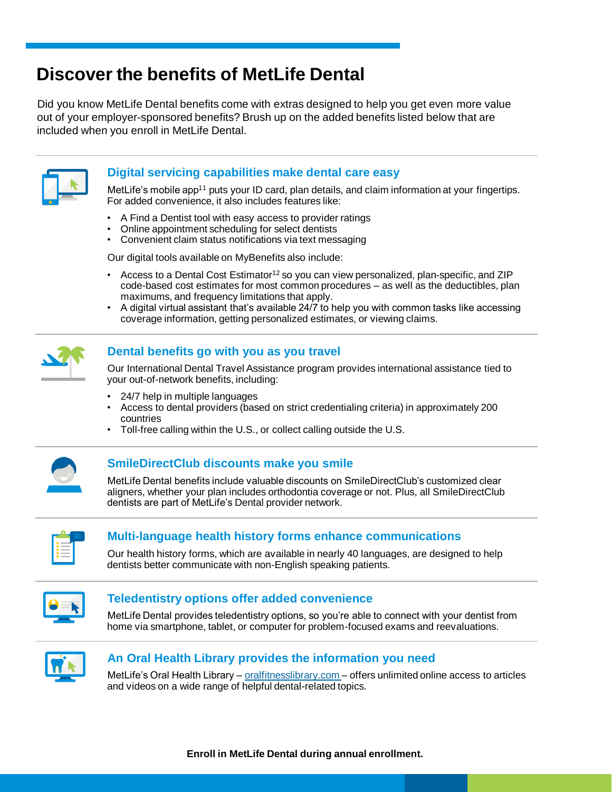## **Discover the benefits of MetLife Dental**

Did you know MetLife Dental benefits come with extras designed to help you get even more value out of your employer-sponsored benefits? Brush up on the added benefits listed below that are included when you enroll in MetLife Dental.



## **Digital servicing capabilities make dental care easy**

MetLife's mobile app<sup>11</sup> puts your ID card, plan details, and claim information at your fingertips. For added convenience, it also includes features like:

- A Find a Dentist tool with easy access to provider ratings
- Online appointment scheduling for select dentists
- Convenient claim status notifications via text messaging

Our digital tools available on MyBenefits also include:

- Access to a Dental Cost Estimator<sup>12</sup> so you can view personalized, plan-specific, and ZIP code-based cost estimates for most common procedures – as well as the deductibles, plan maximums, and frequency limitations that apply.
- A digital virtual assistant that's available 24/7 to help you with common tasks like accessing coverage information, getting personalized estimates, or viewing claims.



#### **Dental benefits go with you as you travel**

Our International Dental Travel Assistance program provides international assistance tied to your out-of-network benefits, including:

- 24/7 help in multiple languages
- Access to dental providers (based on strict credentialing criteria) in approximately 200 countries
- Toll-free calling within the U.S., or collect calling outside the U.S.



#### **SmileDirectClub discounts make you smile**

MetLife Dental benefits include valuable discounts on SmileDirectClub's customized clear aligners, whether your plan includes orthodontia coverage or not. Plus, all SmileDirectClub dentists are part of MetLife's Dental provider network.



### **Multi-language health history forms enhance communications**

Our health history forms, which are available in nearly 40 languages, are designed to help dentists better communicate with non-English speaking patients.



#### **Teledentistry options offer added convenience**

MetLife Dental provides teledentistry options, so you're able to connect with your dentist from home via smartphone, tablet, or computer for problem-focused exams and reevaluations.



#### **An Oral Health Library provides the information you need**

MetLife's Oral Health Library – *oralfitnesslibrary.com* – offers unlimited online access to articles and videos on a wide range of helpful dental-related topics.